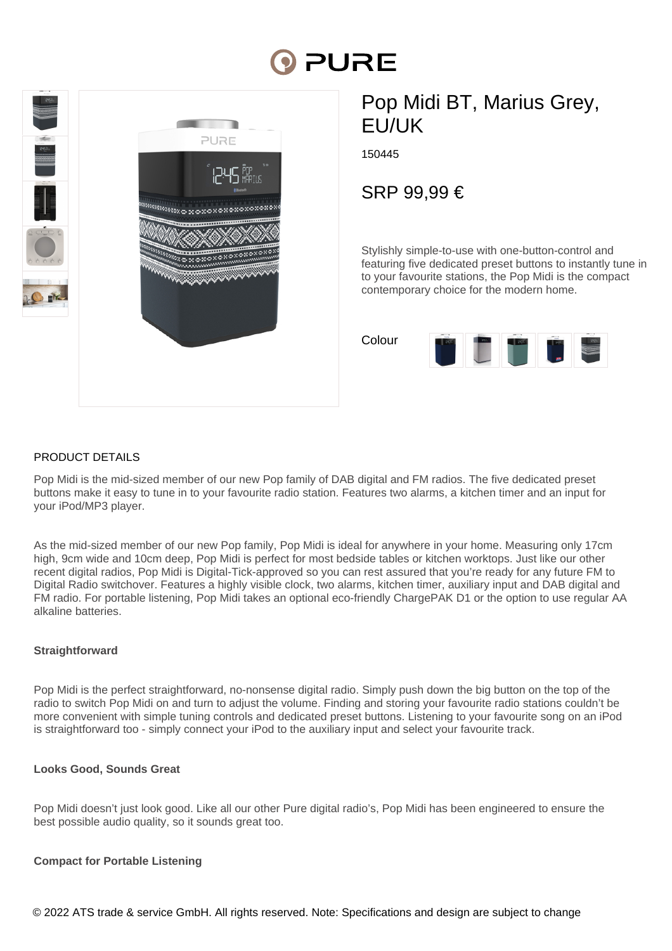# **PURE**



# Pop Midi BT, Marius Grey, EU/UK

150445

SRP 99,99 €

Stylishly simple-to-use with one-button-control and featuring five dedicated preset buttons to instantly tune in to your favourite stations, the Pop Midi is the compact contemporary choice for the modern home.

Colour 

# PRODUCT DETAILS

Pop Midi is the mid-sized member of our new Pop family of DAB digital and FM radios. The five dedicated preset buttons make it easy to tune in to your favourite radio station. Features two alarms, a kitchen timer and an input for your iPod/MP3 player.

As the mid-sized member of our new Pop family, Pop Midi is ideal for anywhere in your home. Measuring only 17cm high, 9cm wide and 10cm deep, Pop Midi is perfect for most bedside tables or kitchen worktops. Just like our other recent digital radios, Pop Midi is Digital-Tick-approved so you can rest assured that you're ready for any future FM to Digital Radio switchover. Features a highly visible clock, two alarms, kitchen timer, auxiliary input and DAB digital and FM radio. For portable listening, Pop Midi takes an optional eco-friendly ChargePAK D1 or the option to use regular AA alkaline batteries.

# **Straightforward**

Pop Midi is the perfect straightforward, no-nonsense digital radio. Simply push down the big button on the top of the radio to switch Pop Midi on and turn to adjust the volume. Finding and storing your favourite radio stations couldn't be more convenient with simple tuning controls and dedicated preset buttons. Listening to your favourite song on an iPod is straightforward too - simply connect your iPod to the auxiliary input and select your favourite track.

# **Looks Good, Sounds Great**

Pop Midi doesn't just look good. Like all our other Pure digital radio's, Pop Midi has been engineered to ensure the best possible audio quality, so it sounds great too.

#### **Compact for Portable Listening**